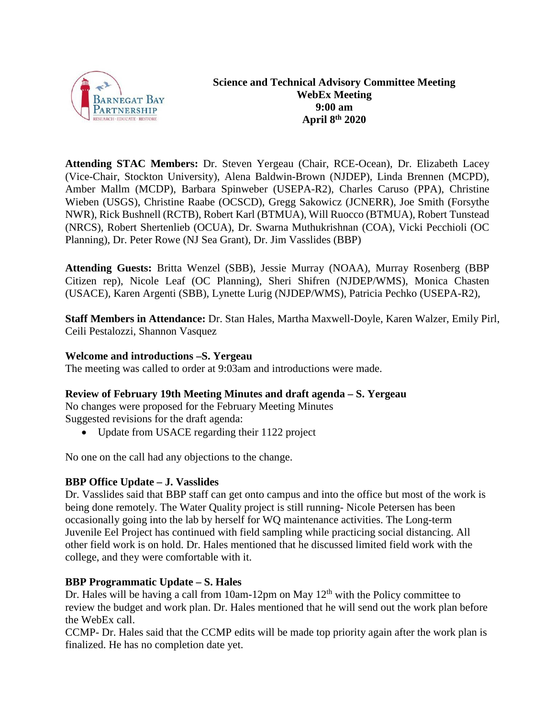

**Attending STAC Members:** Dr. Steven Yergeau (Chair, RCE-Ocean), Dr. Elizabeth Lacey (Vice-Chair, Stockton University), Alena Baldwin-Brown (NJDEP), Linda Brennen (MCPD), Amber Mallm (MCDP), Barbara Spinweber (USEPA-R2), Charles Caruso (PPA), Christine Wieben (USGS), Christine Raabe (OCSCD), Gregg Sakowicz (JCNERR), Joe Smith (Forsythe NWR), Rick Bushnell (RCTB), Robert Karl (BTMUA), Will Ruocco (BTMUA), Robert Tunstead (NRCS), Robert Shertenlieb (OCUA), Dr. Swarna Muthukrishnan (COA), Vicki Pecchioli (OC Planning), Dr. Peter Rowe (NJ Sea Grant), Dr. Jim Vasslides (BBP)

**Attending Guests:** Britta Wenzel (SBB), Jessie Murray (NOAA), Murray Rosenberg (BBP Citizen rep), Nicole Leaf (OC Planning), Sheri Shifren (NJDEP/WMS), Monica Chasten (USACE), Karen Argenti (SBB), Lynette Lurig (NJDEP/WMS), Patricia Pechko (USEPA-R2),

**Staff Members in Attendance:** Dr. Stan Hales, Martha Maxwell-Doyle, Karen Walzer, Emily Pirl, Ceili Pestalozzi, Shannon Vasquez

### **Welcome and introductions –S. Yergeau**

The meeting was called to order at 9:03am and introductions were made.

### **Review of February 19th Meeting Minutes and draft agenda – S. Yergeau**

No changes were proposed for the February Meeting Minutes Suggested revisions for the draft agenda:

• Update from USACE regarding their 1122 project

No one on the call had any objections to the change.

### **BBP Office Update – J. Vasslides**

Dr. Vasslides said that BBP staff can get onto campus and into the office but most of the work is being done remotely. The Water Quality project is still running- Nicole Petersen has been occasionally going into the lab by herself for WQ maintenance activities. The Long-term Juvenile Eel Project has continued with field sampling while practicing social distancing. All other field work is on hold. Dr. Hales mentioned that he discussed limited field work with the college, and they were comfortable with it.

#### **BBP Programmatic Update – S. Hales**

Dr. Hales will be having a call from 10am-12pm on May  $12<sup>th</sup>$  with the Policy committee to review the budget and work plan. Dr. Hales mentioned that he will send out the work plan before the WebEx call.

CCMP- Dr. Hales said that the CCMP edits will be made top priority again after the work plan is finalized. He has no completion date yet.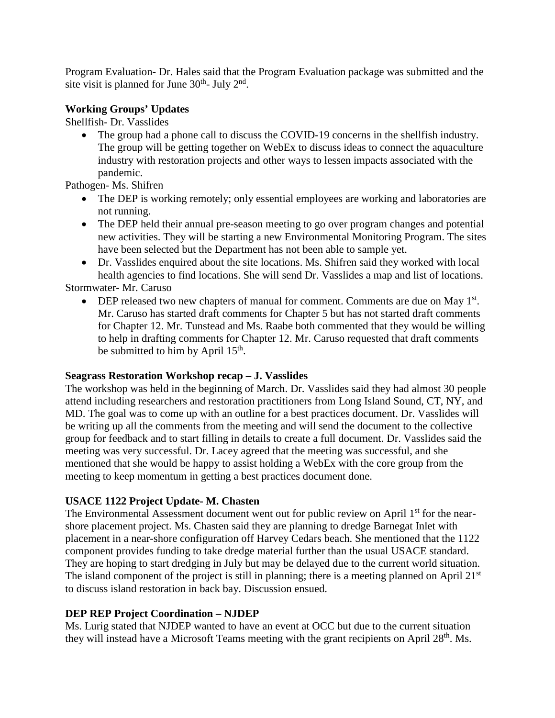Program Evaluation- Dr. Hales said that the Program Evaluation package was submitted and the site visit is planned for June  $30<sup>th</sup>$ - July  $2<sup>nd</sup>$ .

### **Working Groups' Updates**

Shellfish- Dr. Vasslides

• The group had a phone call to discuss the COVID-19 concerns in the shellfish industry. The group will be getting together on WebEx to discuss ideas to connect the aquaculture industry with restoration projects and other ways to lessen impacts associated with the pandemic.

Pathogen- Ms. Shifren

- The DEP is working remotely; only essential employees are working and laboratories are not running.
- The DEP held their annual pre-season meeting to go over program changes and potential new activities. They will be starting a new Environmental Monitoring Program. The sites have been selected but the Department has not been able to sample yet.
- Dr. Vasslides enquired about the site locations. Ms. Shifren said they worked with local health agencies to find locations. She will send Dr. Vasslides a map and list of locations. Stormwater- Mr. Caruso
	- DEP released two new chapters of manual for comment. Comments are due on May  $1<sup>st</sup>$ . Mr. Caruso has started draft comments for Chapter 5 but has not started draft comments for Chapter 12. Mr. Tunstead and Ms. Raabe both commented that they would be willing to help in drafting comments for Chapter 12. Mr. Caruso requested that draft comments be submitted to him by April 15<sup>th</sup>.

# **Seagrass Restoration Workshop recap – J. Vasslides**

The workshop was held in the beginning of March. Dr. Vasslides said they had almost 30 people attend including researchers and restoration practitioners from Long Island Sound, CT, NY, and MD. The goal was to come up with an outline for a best practices document. Dr. Vasslides will be writing up all the comments from the meeting and will send the document to the collective group for feedback and to start filling in details to create a full document. Dr. Vasslides said the meeting was very successful. Dr. Lacey agreed that the meeting was successful, and she mentioned that she would be happy to assist holding a WebEx with the core group from the meeting to keep momentum in getting a best practices document done.

# **USACE 1122 Project Update- M. Chasten**

The Environmental Assessment document went out for public review on April 1<sup>st</sup> for the nearshore placement project. Ms. Chasten said they are planning to dredge Barnegat Inlet with placement in a near-shore configuration off Harvey Cedars beach. She mentioned that the 1122 component provides funding to take dredge material further than the usual USACE standard. They are hoping to start dredging in July but may be delayed due to the current world situation. The island component of the project is still in planning; there is a meeting planned on April 21<sup>st</sup> to discuss island restoration in back bay. Discussion ensued.

# **DEP REP Project Coordination – NJDEP**

Ms. Lurig stated that NJDEP wanted to have an event at OCC but due to the current situation they will instead have a Microsoft Teams meeting with the grant recipients on April 28<sup>th</sup>. Ms.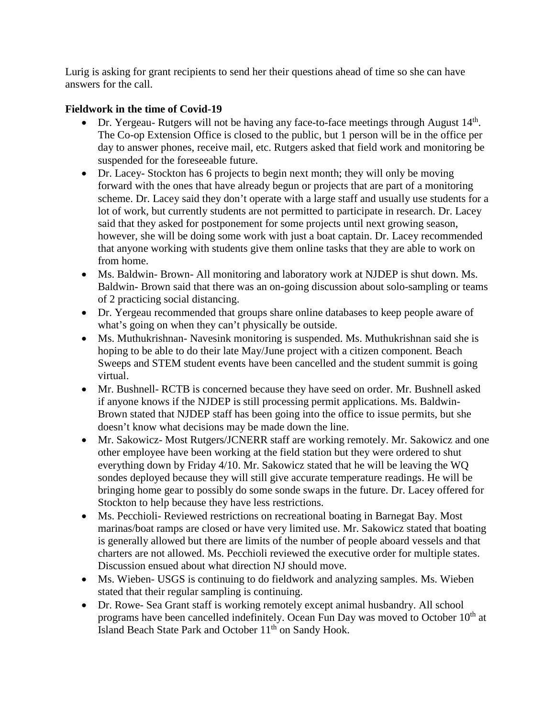Lurig is asking for grant recipients to send her their questions ahead of time so she can have answers for the call.

### **Fieldwork in the time of Covid-19**

- Dr. Yergeau- Rutgers will not be having any face-to-face meetings through August 14<sup>th</sup>. The Co-op Extension Office is closed to the public, but 1 person will be in the office per day to answer phones, receive mail, etc. Rutgers asked that field work and monitoring be suspended for the foreseeable future.
- Dr. Lacey- Stockton has 6 projects to begin next month; they will only be moving forward with the ones that have already begun or projects that are part of a monitoring scheme. Dr. Lacey said they don't operate with a large staff and usually use students for a lot of work, but currently students are not permitted to participate in research. Dr. Lacey said that they asked for postponement for some projects until next growing season, however, she will be doing some work with just a boat captain. Dr. Lacey recommended that anyone working with students give them online tasks that they are able to work on from home.
- Ms. Baldwin-Brown- All monitoring and laboratory work at NJDEP is shut down. Ms. Baldwin- Brown said that there was an on-going discussion about solo-sampling or teams of 2 practicing social distancing.
- Dr. Yergeau recommended that groups share online databases to keep people aware of what's going on when they can't physically be outside.
- Ms. Muthukrishnan- Navesink monitoring is suspended. Ms. Muthukrishnan said she is hoping to be able to do their late May/June project with a citizen component. Beach Sweeps and STEM student events have been cancelled and the student summit is going virtual.
- Mr. Bushnell- RCTB is concerned because they have seed on order. Mr. Bushnell asked if anyone knows if the NJDEP is still processing permit applications. Ms. Baldwin-Brown stated that NJDEP staff has been going into the office to issue permits, but she doesn't know what decisions may be made down the line.
- Mr. Sakowicz- Most Rutgers/JCNERR staff are working remotely. Mr. Sakowicz and one other employee have been working at the field station but they were ordered to shut everything down by Friday 4/10. Mr. Sakowicz stated that he will be leaving the WQ sondes deployed because they will still give accurate temperature readings. He will be bringing home gear to possibly do some sonde swaps in the future. Dr. Lacey offered for Stockton to help because they have less restrictions.
- Ms. Pecchioli- Reviewed restrictions on recreational boating in Barnegat Bay. Most marinas/boat ramps are closed or have very limited use. Mr. Sakowicz stated that boating is generally allowed but there are limits of the number of people aboard vessels and that charters are not allowed. Ms. Pecchioli reviewed the executive order for multiple states. Discussion ensued about what direction NJ should move.
- Ms. Wieben- USGS is continuing to do fieldwork and analyzing samples. Ms. Wieben stated that their regular sampling is continuing.
- Dr. Rowe- Sea Grant staff is working remotely except animal husbandry. All school programs have been cancelled indefinitely. Ocean Fun Day was moved to October 10<sup>th</sup> at Island Beach State Park and October 11<sup>th</sup> on Sandy Hook.